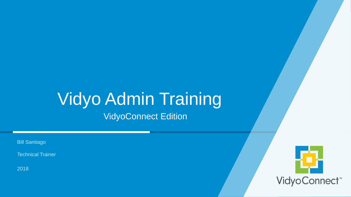#### Vidyo Admin Training VidyoConnect Edition

Bill Santiago

Technical Trainer

2018

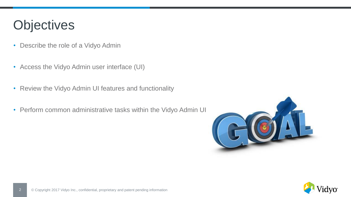#### **Objectives**

- Describe the role of a Vidyo Admin
- Access the Vidyo Admin user interface (UI)
- Review the Vidyo Admin UI features and functionality
- Perform common administrative tasks within the Vidyo Admin UI



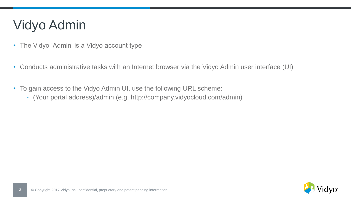#### Vidyo Admin

- The Vidyo 'Admin' is a Vidyo account type
- Conducts administrative tasks with an Internet browser via the Vidyo Admin user interface (UI)
- To gain access to the Vidyo Admin UI, use the following URL scheme:
	- (Your portal address)/admin (e.g. http://company.vidyocloud.com/admin)

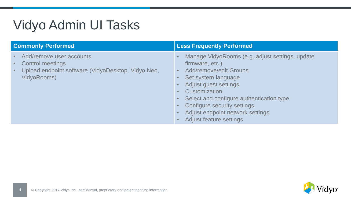#### Vidyo Admin UI Tasks

| <b>Commonly Performed</b>                                                                                                             | <b>Less Frequently Performed</b>                                                                                                                                                                                                                                                                                                   |
|---------------------------------------------------------------------------------------------------------------------------------------|------------------------------------------------------------------------------------------------------------------------------------------------------------------------------------------------------------------------------------------------------------------------------------------------------------------------------------|
| Add/remove user accounts<br><b>Control meetings</b><br>Upload endpoint software (VidyoDesktop, Vidyo Neo,<br>$\bullet$<br>VidyoRooms) | Manage VidyoRooms (e.g. adjust settings, update<br>firmware, etc.)<br><b>Add/remove/edit Groups</b><br>Set system language<br>Adjust guest settings<br>Customization<br>Select and configure authentication type<br>$\bullet$<br>Configure security settings<br>Adjust endpoint network settings<br><b>Adjust feature settings</b> |

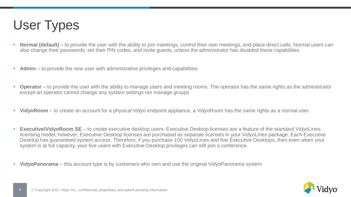

- **Normal (default)** to provide the user with the ability to join meetings, control their own meetings, and place direct calls. Normal users can also change their passwords, set their PIN codes, and invite guests, unless the administrator has disabled these capabilities
- **Admin** to provide the new user with administrative privileges and capabilities
- **Operator** to provide the user with the ability to manage users and meeting rooms. The operator has the same rights as the administrator except an operator cannot change any system settings nor manage groups
- **VidyoRoom** to create an account for a physical Vidyo endpoint appliance, a VidyoRoom has the same rights as a normal user.
- **Executive/VidyoRoom SE**  to create executive desktop users. Executive Desktop licenses are a feature of the standard VidyoLines licensing model; however, Executive Desktop licenses are purchased as separate licenses in your VidyoLines package. Each Executive Desktop has guaranteed system access. Therefore, if you purchase 100 VidyoLines and five Executive Desktops, then even when your system is at full capacity, your five users with Executive Desktop privileges can still join a conference.
- **VidyoPanorama** this account type is by customers who own and use the original VidyoPanorama system

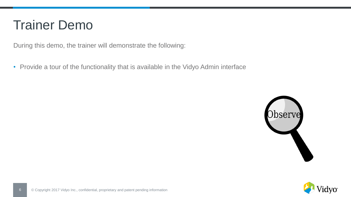#### Trainer Demo

During this demo, the trainer will demonstrate the following:

• Provide a tour of the functionality that is available in the Vidyo Admin interface



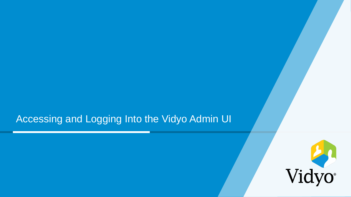#### Accessing and Logging Into the Vidyo Admin UI

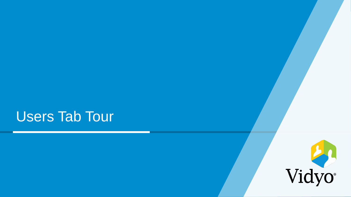#### Users Tab Tour

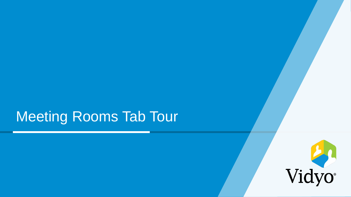## Meeting Rooms Tab Tour

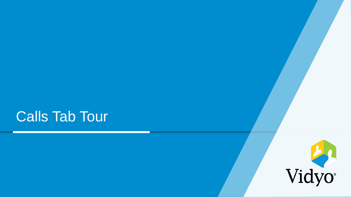### Calls Tab Tour

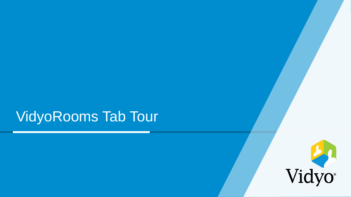## VidyoRooms Tab Tour

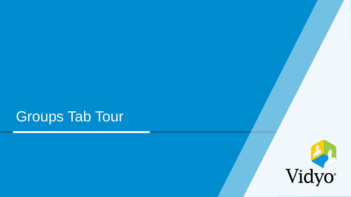## Groups Tab Tour

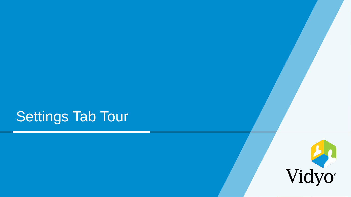# Settings Tab Tour

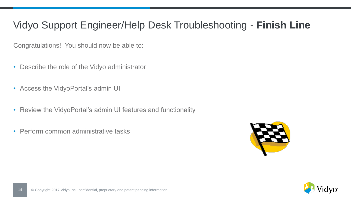#### Vidyo Support Engineer/Help Desk Troubleshooting - **Finish Line**

Congratulations! You should now be able to:

- Describe the role of the Vidyo administrator
- Access the VidyoPortal's admin UI
- Review the VidyoPortal's admin UI features and functionality
- Perform common administrative tasks